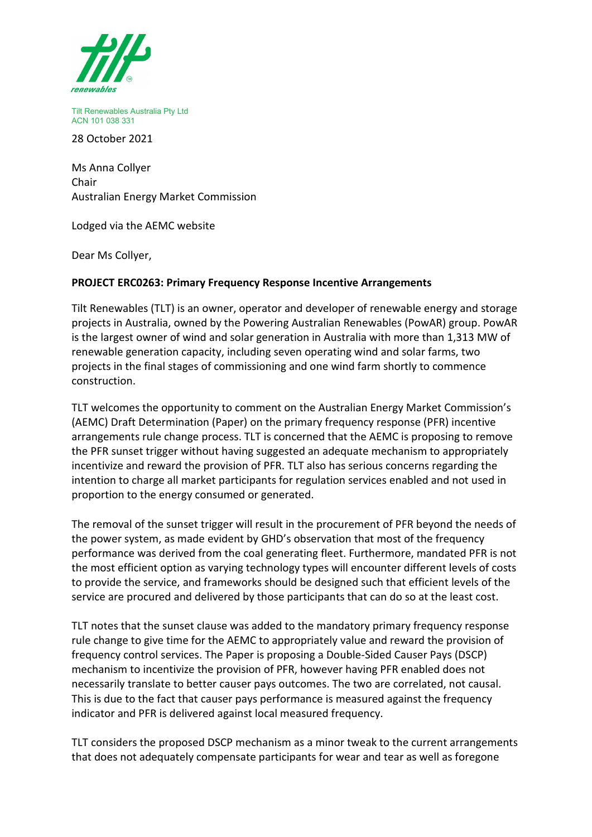

Tilt Renewables Australia Pty Ltd ACN 101 038 331

28 October 2021

Ms Anna Collyer Chair Australian Energy Market Commission

Lodged via the AEMC website

Dear Ms Collyer,

## **PROJECT ERC0263: Primary Frequency Response Incentive Arrangements**

Tilt Renewables (TLT) is an owner, operator and developer of renewable energy and storage projects in Australia, owned by the Powering Australian Renewables (PowAR) group. PowAR is the largest owner of wind and solar generation in Australia with more than 1,313 MW of renewable generation capacity, including seven operating wind and solar farms, two projects in the final stages of commissioning and one wind farm shortly to commence construction.

TLT welcomes the opportunity to comment on the Australian Energy Market Commission's (AEMC) Draft Determination (Paper) on the primary frequency response (PFR) incentive arrangements rule change process. TLT is concerned that the AEMC is proposing to remove the PFR sunset trigger without having suggested an adequate mechanism to appropriately incentivize and reward the provision of PFR. TLT also has serious concerns regarding the intention to charge all market participants for regulation services enabled and not used in proportion to the energy consumed or generated.

The removal of the sunset trigger will result in the procurement of PFR beyond the needs of the power system, as made evident by GHD's observation that most of the frequency performance was derived from the coal generating fleet. Furthermore, mandated PFR is not the most efficient option as varying technology types will encounter different levels of costs to provide the service, and frameworks should be designed such that efficient levels of the service are procured and delivered by those participants that can do so at the least cost.

TLT notes that the sunset clause was added to the mandatory primary frequency response rule change to give time for the AEMC to appropriately value and reward the provision of frequency control services. The Paper is proposing a Double-Sided Causer Pays (DSCP) mechanism to incentivize the provision of PFR, however having PFR enabled does not necessarily translate to better causer pays outcomes. The two are correlated, not causal. This is due to the fact that causer pays performance is measured against the frequency indicator and PFR is delivered against local measured frequency.

TLT considers the proposed DSCP mechanism as a minor tweak to the current arrangements that does not adequately compensate participants for wear and tear as well as foregone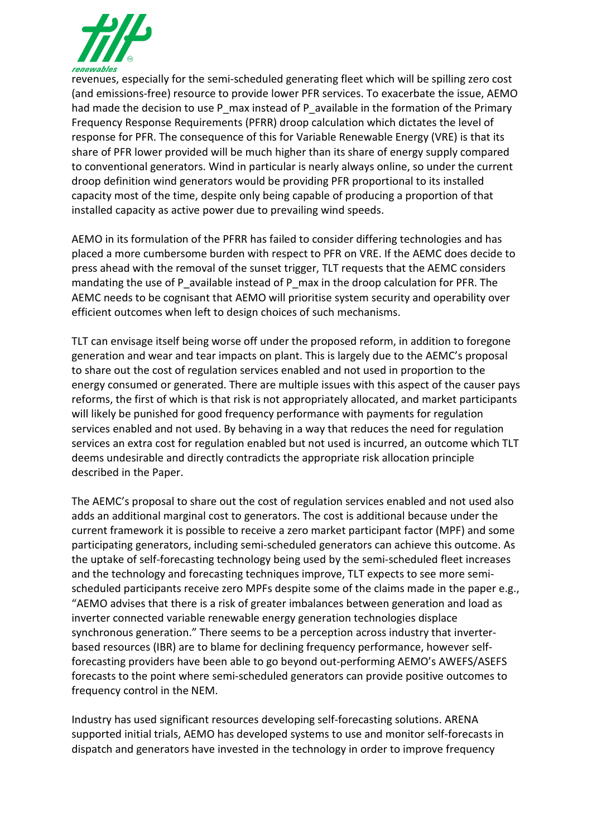

revenues, especially for the semi-scheduled generating fleet which will be spilling zero cost (and emissions-free) resource to provide lower PFR services. To exacerbate the issue, AEMO had made the decision to use P\_max instead of P\_available in the formation of the Primary Frequency Response Requirements (PFRR) droop calculation which dictates the level of response for PFR. The consequence of this for Variable Renewable Energy (VRE) is that its share of PFR lower provided will be much higher than its share of energy supply compared to conventional generators. Wind in particular is nearly always online, so under the current droop definition wind generators would be providing PFR proportional to its installed capacity most of the time, despite only being capable of producing a proportion of that installed capacity as active power due to prevailing wind speeds.

AEMO in its formulation of the PFRR has failed to consider differing technologies and has placed a more cumbersome burden with respect to PFR on VRE. If the AEMC does decide to press ahead with the removal of the sunset trigger, TLT requests that the AEMC considers mandating the use of P\_available instead of P\_max in the droop calculation for PFR. The AEMC needs to be cognisant that AEMO will prioritise system security and operability over efficient outcomes when left to design choices of such mechanisms.

TLT can envisage itself being worse off under the proposed reform, in addition to foregone generation and wear and tear impacts on plant. This is largely due to the AEMC's proposal to share out the cost of regulation services enabled and not used in proportion to the energy consumed or generated. There are multiple issues with this aspect of the causer pays reforms, the first of which is that risk is not appropriately allocated, and market participants will likely be punished for good frequency performance with payments for regulation services enabled and not used. By behaving in a way that reduces the need for regulation services an extra cost for regulation enabled but not used is incurred, an outcome which TLT deems undesirable and directly contradicts the appropriate risk allocation principle described in the Paper.

The AEMC's proposal to share out the cost of regulation services enabled and not used also adds an additional marginal cost to generators. The cost is additional because under the current framework it is possible to receive a zero market participant factor (MPF) and some participating generators, including semi-scheduled generators can achieve this outcome. As the uptake of self-forecasting technology being used by the semi-scheduled fleet increases and the technology and forecasting techniques improve, TLT expects to see more semischeduled participants receive zero MPFs despite some of the claims made in the paper e.g., "AEMO advises that there is a risk of greater imbalances between generation and load as inverter connected variable renewable energy generation technologies displace synchronous generation." There seems to be a perception across industry that inverterbased resources (IBR) are to blame for declining frequency performance, however selfforecasting providers have been able to go beyond out-performing AEMO's AWEFS/ASEFS forecasts to the point where semi-scheduled generators can provide positive outcomes to frequency control in the NEM.

Industry has used significant resources developing self-forecasting solutions. ARENA supported initial trials, AEMO has developed systems to use and monitor self-forecasts in dispatch and generators have invested in the technology in order to improve frequency